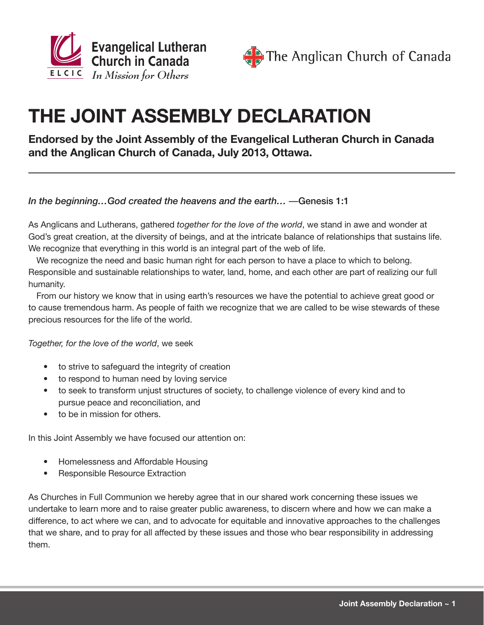



# **THE JOINT ASSEMBLY DECLARATION**

### **Endorsed by the Joint Assembly of the Evangelical Lutheran Church in Canada and the Anglican Church of Canada, July 2013, Ottawa.**

#### *In the beginning…God created the heavens and the earth…* —Genesis 1:1

As Anglicans and Lutherans, gathered *together for the love of the world*, we stand in awe and wonder at God's great creation, at the diversity of beings, and at the intricate balance of relationships that sustains life. We recognize that everything in this world is an integral part of the web of life.

We recognize the need and basic human right for each person to have a place to which to belong. Responsible and sustainable relationships to water, land, home, and each other are part of realizing our full humanity.

From our history we know that in using earth's resources we have the potential to achieve great good or to cause tremendous harm. As people of faith we recognize that we are called to be wise stewards of these precious resources for the life of the world.

*Together, for the love of the world*, we seek

- to strive to safeguard the integrity of creation
- to respond to human need by loving service
- to seek to transform unjust structures of society, to challenge violence of every kind and to pursue peace and reconciliation, and
- to be in mission for others.

In this Joint Assembly we have focused our attention on:

- **Homelessness and Affordable Housing**
- **Responsible Resource Extraction**

As Churches in Full Communion we hereby agree that in our shared work concerning these issues we undertake to learn more and to raise greater public awareness, to discern where and how we can make a difference, to act where we can, and to advocate for equitable and innovative approaches to the challenges that we share, and to pray for all affected by these issues and those who bear responsibility in addressing them.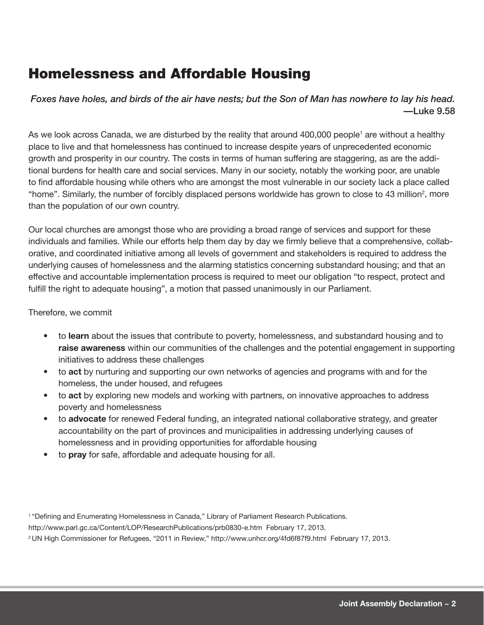### Homelessness and Affordable Housing

*Foxes have holes, and birds of the air have nests; but the Son of Man has nowhere to lay his head. —*Luke 9.58

As we look across Canada, we are disturbed by the reality that around 400,000 people<sup>1</sup> are without a healthy place to live and that homelessness has continued to increase despite years of unprecedented economic growth and prosperity in our country. The costs in terms of human suffering are staggering, as are the additional burdens for health care and social services. Many in our society, notably the working poor, are unable to find affordable housing while others who are amongst the most vulnerable in our society lack a place called "home". Similarly, the number of forcibly displaced persons worldwide has grown to close to 43 million<sup>2</sup>, more than the population of our own country.

Our local churches are amongst those who are providing a broad range of services and support for these individuals and families. While our efforts help them day by day we firmly believe that a comprehensive, collaborative, and coordinated initiative among all levels of government and stakeholders is required to address the underlying causes of homelessness and the alarming statistics concerning substandard housing; and that an effective and accountable implementation process is required to meet our obligation "to respect, protect and fulfill the right to adequate housing", a motion that passed unanimously in our Parliament.

#### Therefore, we commit

- • to **learn** about the issues that contribute to poverty, homelessness, and substandard housing and to **raise awareness** within our communities of the challenges and the potential engagement in supporting initiatives to address these challenges
- • to **act** by nurturing and supporting our own networks of agencies and programs with and for the homeless, the under housed, and refugees
- to **act** by exploring new models and working with partners, on innovative approaches to address poverty and homelessness
- to **advocate** for renewed Federal funding, an integrated national collaborative strategy, and greater accountability on the part of provinces and municipalities in addressing underlying causes of homelessness and in providing opportunities for affordable housing
- to **pray** for safe, affordable and adequate housing for all.

<sup>1</sup>"Defining and Enumerating Homelessness in Canada," Library of Parliament Research Publications. http://www.parl.gc.ca/Content/LOP/ResearchPublications/prb0830-e.htm February 17, 2013. <sup>2</sup>UN High Commissioner for Refugees, "2011 in Review," http://www.unhcr.org/4fd6f87f9.html February 17, 2013.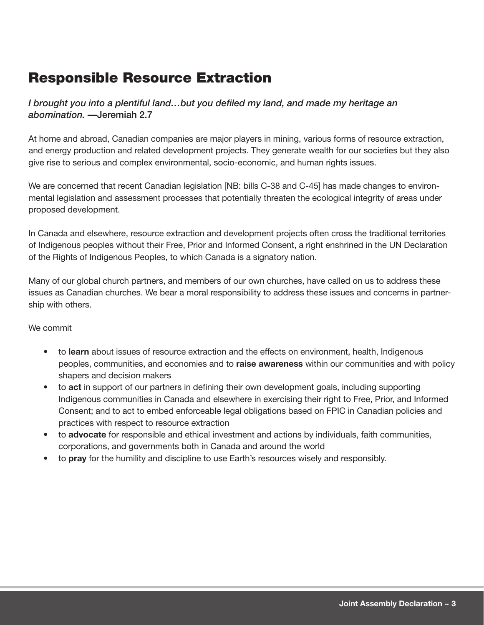### Responsible Resource Extraction

*I brought you into a plentiful land…but you defiled my land, and made my heritage an abomination. —*Jeremiah 2.7

At home and abroad, Canadian companies are major players in mining, various forms of resource extraction, and energy production and related development projects. They generate wealth for our societies but they also give rise to serious and complex environmental, socio-economic, and human rights issues.

We are concerned that recent Canadian legislation [NB: bills C-38 and C-45] has made changes to environmental legislation and assessment processes that potentially threaten the ecological integrity of areas under proposed development.

In Canada and elsewhere, resource extraction and development projects often cross the traditional territories of Indigenous peoples without their Free, Prior and Informed Consent, a right enshrined in the UN Declaration of the Rights of Indigenous Peoples, to which Canada is a signatory nation.

Many of our global church partners, and members of our own churches, have called on us to address these issues as Canadian churches. We bear a moral responsibility to address these issues and concerns in partnership with others.

#### We commit

- to **learn** about issues of resource extraction and the effects on environment, health, Indigenous peoples, communities, and economies and to **raise awareness** within our communities and with policy shapers and decision makers
- to **act** in support of our partners in defining their own development goals, including supporting Indigenous communities in Canada and elsewhere in exercising their right to Free, Prior, and Informed Consent; and to act to embed enforceable legal obligations based on FPIC in Canadian policies and practices with respect to resource extraction
- to **advocate** for responsible and ethical investment and actions by individuals, faith communities, corporations, and governments both in Canada and around the world
- to **pray** for the humility and discipline to use Earth's resources wisely and responsibly.